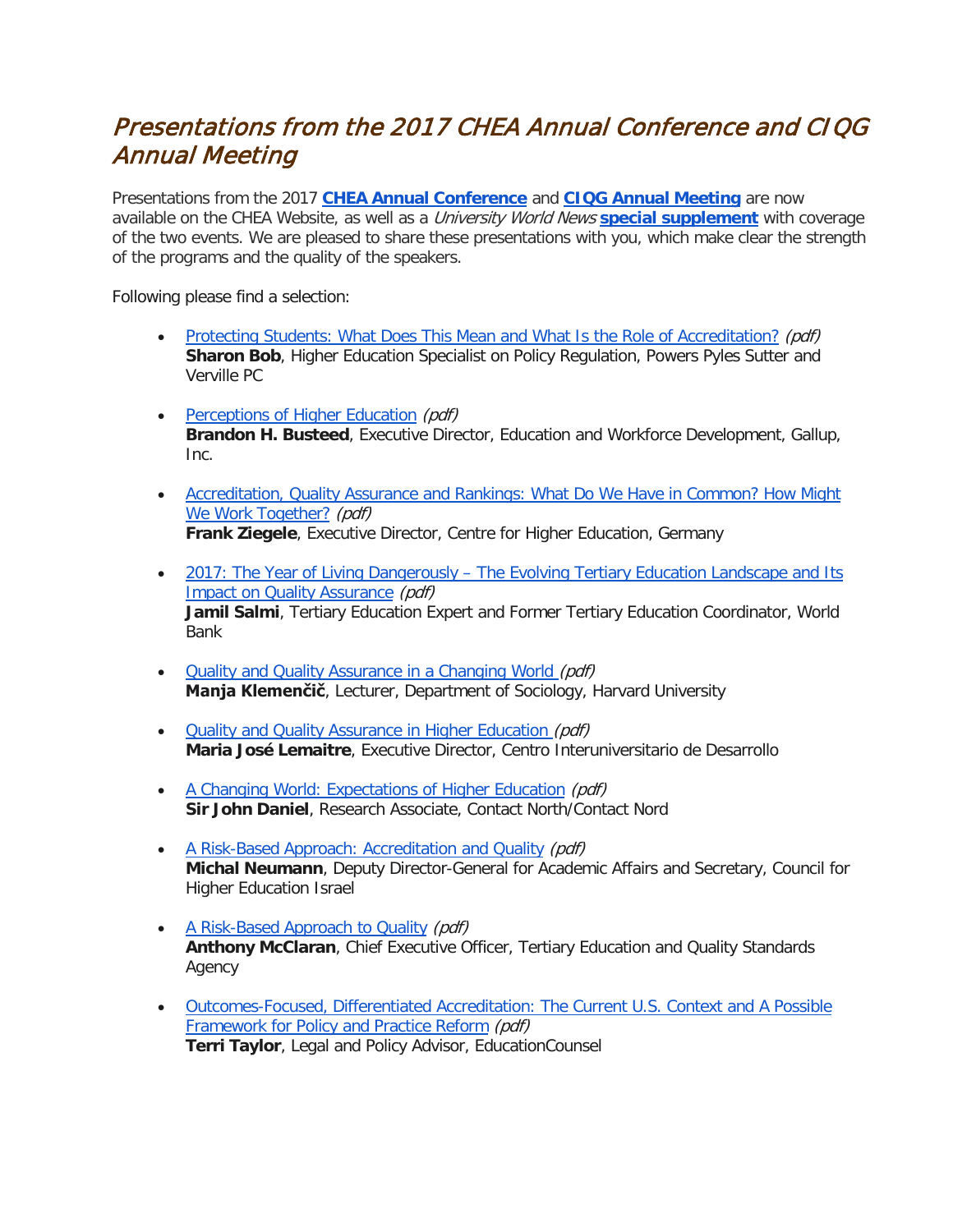## Presentations from the 2017 CHEA Annual Conference and CIQG Annual Meeting

Presentations from the 2017 **[CHEA Annual Conference](http://r20.rs6.net/tn.jsp?f=001IGHPdaznMjxJ8kx2y59c3s3EVF6RWv8ailiO0woVVXuz6yt8bkUjPHtV_g0fouMwquOP7wLr2m5AqbO9TXC3hbGZLmWiAoycGpFKQVfLi_L-1Ql3cx55WzowlhZHLQStRGuwcQ-5d6OzlSo85ktT0puHd7p_RHBe9u9kk6Q6o5hHL9HJSwu8rvPzuFacvuUgXeRyL43EWWs5z3qzGjXs5G4dkgyZdg3K-1eGgk9TvDVzVPVtDY01seUYWXmr-3JmVOqj5QiS7kX9m8BqybgKHjfP7LUySrmL&c=uJEzLt_eA0EOXuJsIjA36aCwh3bm3PpJ6rDedXjHaKYRjAjNXz6H5Q==&ch=UNipiIeBUgU66gPrjDhoQkLM1VOMixyhqVSRhMp3LPS93b-HctT7ZQ==)** and **[CIQG Annual Meeting](http://r20.rs6.net/tn.jsp?f=001IGHPdaznMjxJ8kx2y59c3s3EVF6RWv8ailiO0woVVXuz6yt8bkUjPHtV_g0fouMwYCcKTXQCLVOvtZi2vpuxsTIQt_W9KZSnL-1Vc15jNjYeGcU8bbWSi8JQKrxrvwQkmMz-q95BztXyRg5NVhHb3v_g2GNZ2Jq1V_8RAQuQJv6pndagP_Cz_fWNC4gzd55PhruCV8n06RGqyNWZYUARnae3bE6yBL052DQrTprziizZSkYZ_xVcMZdxm7pR8opldtiOAfO1cG6vX7EOkKoD0t3_Kt72Q4newvpvohDLX3b9hBHUhvoEAo8UYnWpjvuy&c=uJEzLt_eA0EOXuJsIjA36aCwh3bm3PpJ6rDedXjHaKYRjAjNXz6H5Q==&ch=UNipiIeBUgU66gPrjDhoQkLM1VOMixyhqVSRhMp3LPS93b-HctT7ZQ==)** are now available on the CHEA Website, as well as a University World News **[special supplement](http://r20.rs6.net/tn.jsp?f=001IGHPdaznMjxJ8kx2y59c3s3EVF6RWv8ailiO0woVVXuz6yt8bkUjPHtV_g0fouMwDeRhSnTJ0FJonTWnoc91Lig0nKnbXJrjwrvWSh9J2t6-Rt36ye10VbANg2YtoM2u2WrFuF_m2CCuACzn-r0cW-wZ6lMHImd6dFkb9k11cybtJgIV_cM-IB4Dzm5QDpczBaYSvvX9SKcgU6-s2l5Jw0lfFR0_FuKLpLRA6FmZYW7CE88fpmVi5A==&c=uJEzLt_eA0EOXuJsIjA36aCwh3bm3PpJ6rDedXjHaKYRjAjNXz6H5Q==&ch=UNipiIeBUgU66gPrjDhoQkLM1VOMixyhqVSRhMp3LPS93b-HctT7ZQ==)** with coverage of the two events. We are pleased to share these presentations with you, which make clear the strength of the programs and the quality of the speakers.

Following please find a selection:

- [Protecting Students: What Does This Mean and What Is the Role of Accreditation?](http://www.chea.org/userfiles/Conference%20Presentations/2017-chea-bob.pdf) (pdf) **Sharon Bob**, Higher Education Specialist on Policy Regulation, Powers Pyles Sutter and Verville PC
- [Perceptions of Higher Education](http://www.chea.org/userfiles/Conference%20Presentations/2017-chea-busteed.pdf) (pdf) **Brandon H. Busteed**, Executive Director, Education and Workforce Development, Gallup, Inc.
- [Accreditation, Quality Assurance and Rankings: What Do We Have in Common? How Might](http://www.chea.org/userfiles/Conference%20Presentations/2017-chea-ziegele.pdf)  [We Work Together?](http://www.chea.org/userfiles/Conference%20Presentations/2017-chea-ziegele.pdf) (pdf) **Frank Ziegele**, Executive Director, Centre for Higher Education, Germany
- 2017: The Year of Living Dangerously The Evolving Tertiary Education Landscape and Its [Impact on Quality Assurance](http://www.chea.org/userfiles/Conference%20Presentations/2017-ciqg-salmi.pdf) (pdf) **Jamil Salmi**, Tertiary Education Expert and Former Tertiary Education Coordinator, World Bank
- [Quality and Quality Assurance in a Changing World](http://www.chea.org/userfiles/Conference%20Presentations/2017-ciqg-klemencic.pdf) (pdf) **Manja Klemenčič**, Lecturer, Department of Sociology, Harvard University
- [Quality and Quality Assurance in Higher Education](http://www.chea.org/userfiles/Conference%20Presentations/2017-ciqg-lemaitre.pdf) (pdf) **Maria José Lemaitre**, Executive Director, Centro Interuniversitario de Desarrollo
- [A Changing World: Expectations of Higher Education](http://www.chea.org/userfiles/Conference%20Presentations/2017-ciqg-daniel.pdf) (pdf) **Sir John Daniel**, Research Associate, Contact North/Contact Nord
- [A Risk-Based Approach: Accreditation and Quality](http://www.chea.org/userfiles/Conference%20Presentations/2017-ciqg-neumann.pdf) (pdf) **Michal Neumann**, Deputy Director-General for Academic Affairs and Secretary, Council for Higher Education Israel
- [A Risk-Based Approach to Quality](http://www.chea.org/userfiles/Conference%20Presentations/2017-ciqg-mcclaran.pdf) (pdf) **Anthony McClaran**, Chief Executive Officer, Tertiary Education and Quality Standards Agency
- [Outcomes-Focused, Differentiated Accreditation: The Current U.S. Context and A Possible](http://www.chea.org/userfiles/Conference%20Presentations/2017-ciqg-taylor.pdf)  [Framework for Policy and Practice Reform](http://www.chea.org/userfiles/Conference%20Presentations/2017-ciqg-taylor.pdf) (pdf) **Terri Taylor**, Legal and Policy Advisor, EducationCounsel